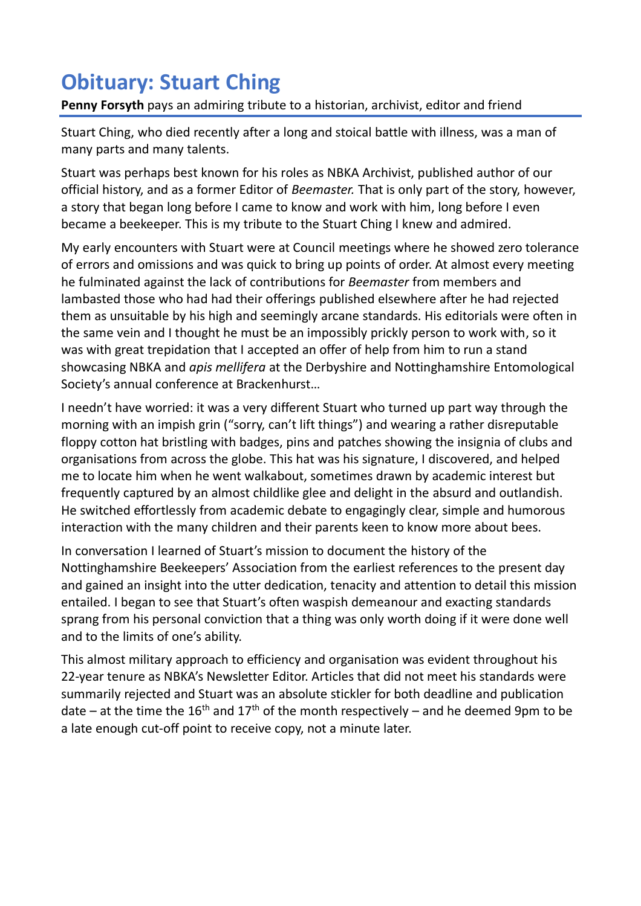## **Obituary: Stuart Ching**

## **Penny Forsyth** pays an admiring tribute to a historian, archivist, editor and friend

Stuart Ching, who died recently after a long and stoical battle with illness, was a man of many parts and many talents.

Stuart was perhaps best known for his roles as NBKA Archivist, published author of our official history, and as a former Editor of *Beemaster.* That is only part of the story, however, a story that began long before I came to know and work with him, long before I even became a beekeeper. This is my tribute to the Stuart Ching I knew and admired.

My early encounters with Stuart were at Council meetings where he showed zero tolerance of errors and omissions and was quick to bring up points of order. At almost every meeting he fulminated against the lack of contributions for *Beemaster* from members and lambasted those who had had their offerings published elsewhere after he had rejected them as unsuitable by his high and seemingly arcane standards. His editorials were often in the same vein and I thought he must be an impossibly prickly person to work with, so it was with great trepidation that I accepted an offer of help from him to run a stand showcasing NBKA and *apis mellifera* at the Derbyshire and Nottinghamshire Entomological Society's annual conference at Brackenhurst…

I needn't have worried: it was a very different Stuart who turned up part way through the morning with an impish grin ("sorry, can't lift things") and wearing a rather disreputable floppy cotton hat bristling with badges, pins and patches showing the insignia of clubs and organisations from across the globe. This hat was his signature, I discovered, and helped me to locate him when he went walkabout, sometimes drawn by academic interest but frequently captured by an almost childlike glee and delight in the absurd and outlandish. He switched effortlessly from academic debate to engagingly clear, simple and humorous interaction with the many children and their parents keen to know more about bees.

In conversation I learned of Stuart's mission to document the history of the Nottinghamshire Beekeepers' Association from the earliest references to the present day and gained an insight into the utter dedication, tenacity and attention to detail this mission entailed. I began to see that Stuart's often waspish demeanour and exacting standards sprang from his personal conviction that a thing was only worth doing if it were done well and to the limits of one's ability.

This almost military approach to efficiency and organisation was evident throughout his 22-year tenure as NBKA's Newsletter Editor. Articles that did not meet his standards were summarily rejected and Stuart was an absolute stickler for both deadline and publication date – at the time the 16<sup>th</sup> and 17<sup>th</sup> of the month respectively – and he deemed 9pm to be a late enough cut-off point to receive copy, not a minute later.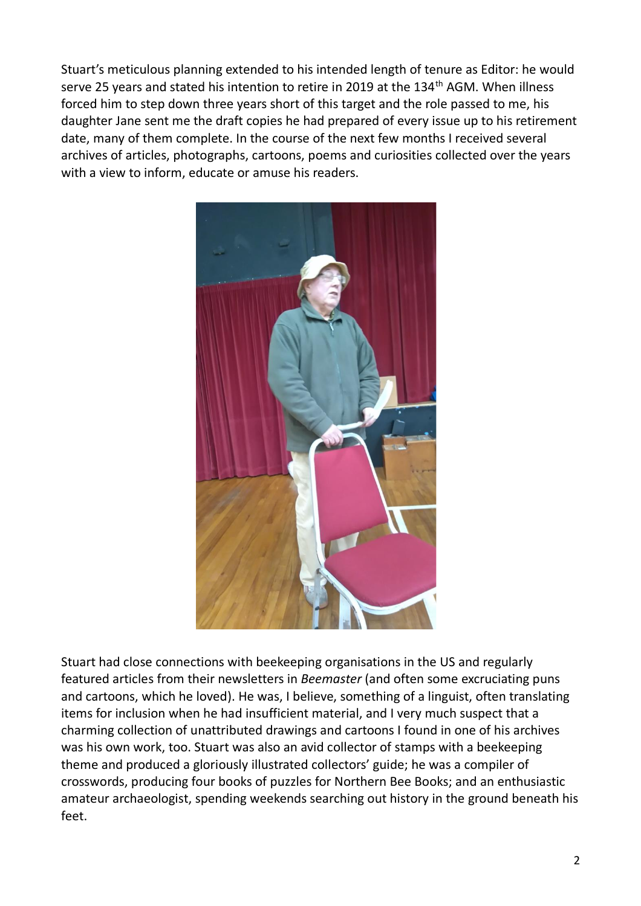Stuart's meticulous planning extended to his intended length of tenure as Editor: he would serve 25 years and stated his intention to retire in 2019 at the 134<sup>th</sup> AGM. When illness forced him to step down three years short of this target and the role passed to me, his daughter Jane sent me the draft copies he had prepared of every issue up to his retirement date, many of them complete. In the course of the next few months I received several archives of articles, photographs, cartoons, poems and curiosities collected over the years with a view to inform, educate or amuse his readers.



Stuart had close connections with beekeeping organisations in the US and regularly featured articles from their newsletters in *Beemaster* (and often some excruciating puns and cartoons, which he loved). He was, I believe, something of a linguist, often translating items for inclusion when he had insufficient material, and I very much suspect that a charming collection of unattributed drawings and cartoons I found in one of his archives was his own work, too. Stuart was also an avid collector of stamps with a beekeeping theme and produced a gloriously illustrated collectors' guide; he was a compiler of crosswords, producing four books of puzzles for Northern Bee Books; and an enthusiastic amateur archaeologist, spending weekends searching out history in the ground beneath his feet.